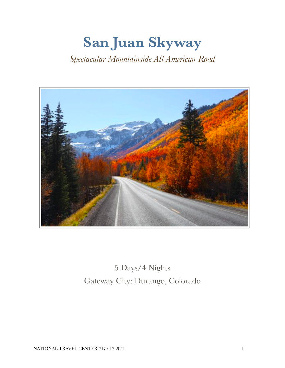# **San Juan Skyway** *Spectacular Mountainside All American Road*



5 Days/4 Nights Gateway City: Durango, Colorado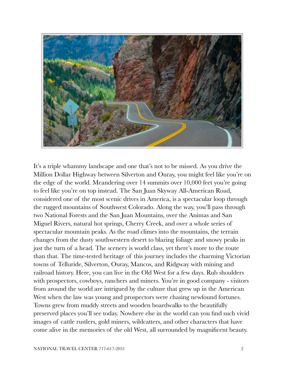

It's a triple whammy landscape and one that's not to be missed. As you drive the Million Dollar Highway between Silverton and Ouray, you might feel like you're on the edge of the world. Meandering over 14 summits over 10,000 feet you're going to feel like you're on top instead. The San Juan Skyway All-American Road, considered one of the most scenic drives in America, is a spectacular loop through the rugged mountains of Southwest Colorado. Along the way, you'll pass through two National Forests and the San Juan Mountains, over the Animas and San Miguel Rivers, natural hot springs, Cherry Creek, and over a whole series of spectacular mountain peaks. As the road climes into the mountains, the terrain changes from the dusty southwestern desert to blazing foliage and snowy peaks in just the turn of a head. The scenery is world class, yet there's more to the route than that. The time-tested heritage of this journey includes the charming Victorian towns of Telluride, Silverton, Ouray, Mancos, and Ridgway with mining and railroad history. Here, you can live in the Old West for a few days. Rub shoulders with prospectors, cowboys, ranchers and miners. You're in good company - visitors from around the world are intrigued by the culture that grew up in the American West when the law was young and prospectors were chasing newfound fortunes. Towns grew from muddy streets and wooden boardwalks to the beautifully preserved places you'll see today. Nowhere else in the world can you find such vivid images of cattle rustlers, gold miners, wildcatters, and other characters that have come alive in the memories of the old West, all surrounded by magnificent beauty.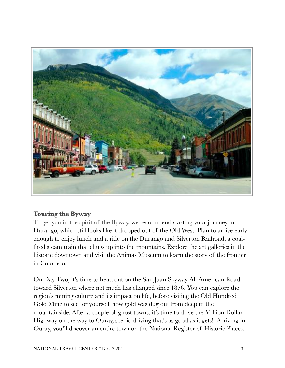

### **Touring the Byway**

To get you in the spirit of the Byway, we recommend starting your journey in Durango, which still looks like it dropped out of the Old West. Plan to arrive early enough to enjoy lunch and a ride on the Durango and Silverton Railroad, a coalfired steam train that chugs up into the mountains. Explore the art galleries in the historic downtown and visit the Animas Museum to learn the story of the frontier in Colorado.

On Day Two, it's time to head out on the San Juan Skyway All American Road toward Silverton where not much has changed since 1876. You can explore the region's mining culture and its impact on life, before visiting the Old Hundred Gold Mine to see for yourself how gold was dug out from deep in the mountainside. After a couple of ghost towns, it's time to drive the Million Dollar Highway on the way to Ouray, scenic driving that's as good as it gets! Arriving in Ouray, you'll discover an entire town on the National Register of Historic Places.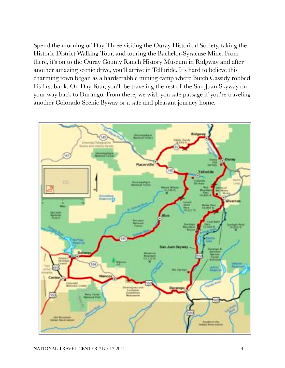Spend the morning of Day Three visiting the Ouray Historical Society, taking the Historic District Walking Tour, and touring the Bachelor-Syracuse Mine. From there, it's on to the Ouray County Ranch History Museum in Ridgway and after another amazing scenic drive, you'll arrive in Telluride. It's hard to believe this charming town began as a hardscrabble mining camp where Butch Cassidy robbed his first bank. On Day Four, you'll be traveling the rest of the San Juan Skyway on your way back to Durango. From there, we wish you safe passage if you're traveling another Colorado Scenic Byway or a safe and pleasant journey home.

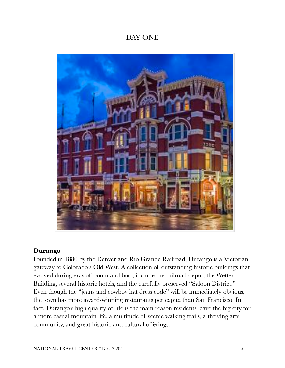# DAY ONE



### **Durango**

Founded in 1880 by the Denver and Rio Grande Railroad, Durango is a Victorian gateway to Colorado's Old West. A collection of outstanding historic buildings that evolved during eras of boom and bust, include the railroad depot, the Wetter Building, several historic hotels, and the carefully preserved "Saloon District." Even though the "jeans and cowboy hat dress code" will be immediately obvious, the town has more award-winning restaurants per capita than San Francisco. In fact, Durango's high quality of life is the main reason residents leave the big city for a more casual mountain life, a multitude of scenic walking trails, a thriving arts community, and great historic and cultural offerings.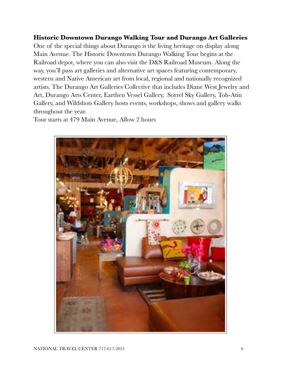### **Historic Downtown Durango Walking Tour and Durango Art Galleries**

One of the special things about Durango is the living heritage on display along Main Avenue. The Historic Downtown Durango Walking Tour begins at the Railroad depot, where you can also visit the D&S Railroad Museum. Along the way, you'll pass art galleries and alternative art spaces featuring contemporary, western and Native American art from local, regional and nationally recognized artists. The Durango Art Galleries Collective that includes Diane West Jewelry and Art, Durango Arts Center, Earthen Vessel Gallery, Sorrel Sky Gallery, Toh-Atin Gallery, and Wildshots Gallery hosts events, workshops, shows and gallery walks throughout the year.

Tour starts at 479 Main Avenue, Allow 2 hours

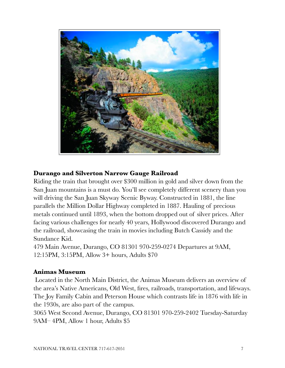

### **Durango and Silverton Narrow Gauge Railroad**

Riding the train that brought over \$300 million in gold and silver down from the San Juan mountains is a must do. You'll see completely different scenery than you will driving the San Juan Skyway Scenic Byway. Constructed in 1881, the line parallels the Million Dollar Highway completed in 1887. Hauling of precious metals continued until 1893, when the bottom dropped out of silver prices. After facing various challenges for nearly 40 years, Hollywood discovered Durango and the railroad, showcasing the train in movies including Butch Cassidy and the Sundance Kid.

479 Main Avenue, Durango, CO 81301 970-259-0274 Departures at 9AM, 12:15PM, 3:15PM, Allow 3+ hours, Adults \$70

### **Animas Museum**

Located in the North Main District, the Animas Museum delivers an overview of the area's Native Americans, Old West, fires, railroads, transportation, and lifeways. The Joy Family Cabin and Peterson House which contrasts life in 1876 with life in the 1930s, are also part of the campus.

3065 West Second Avenue, Durango, CO 81301 970-259-2402 Tuesday-Saturday 9AM– 4PM, Allow 1 hour, Adults \$5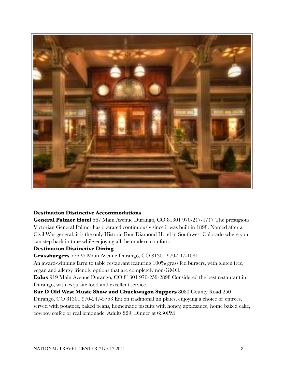

#### **Destination Distinctive Accommodations**

**General Palmer Hotel** 567 Main Avenue Durango, CO 81301 970-247-4747 The prestigious Victorian General Palmer has operated continuously since it was built in 1898. Named after a Civil War general, it is the only Historic Four Diamond Hotel in Southwest Colorado where you can step back in time while enjoying all the modern comforts.

#### **Destination Distinctive Dining**

**Grassburgers** 726 ½ Main Avenue Durango, CO 81301 970-247-1081

An award-winning farm to table restaurant featuring 100% grass fed burgers, with gluten free, vegan and allergy friendly options that are completely non-GMO.

**Eolus** 919 Main Avenue Durango, CO 81301 970-259-2898 Considered the best restaurant in Durango, with exquisite food and excellent service.

**Bar D Old West Music Show and Chuckwagon Suppers** 8080 County Road 250 Durango, CO 81301 970-247-5753 Eat on traditional tin plates, enjoying a choice of entrees, served with potatoes, baked beans, homemade biscuits with honey, applesauce, home baked cake, cowboy coffee or real lemonade. Adults \$29, Dinner at 6:30PM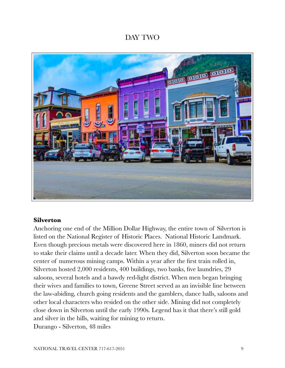# DAY TWO



### **Silverton**

Anchoring one end of the Million Dollar Highway, the entire town of Silverton is listed on the National Register of Historic Places. National Historic Landmark. Even though precious metals were discovered here in 1860, miners did not return to stake their claims until a decade later. When they did, Silverton soon became the center of numerous mining camps. Within a year after the first train rolled in, Silverton hosted 2,000 residents, 400 buildings, two banks, five laundries, 29 saloons, several hotels and a bawdy red-light district. When men began bringing their wives and families to town, Greene Street served as an invisible line between the law-abiding, church going residents and the gamblers, dance halls, saloons and other local characters who resided on the other side. Mining did not completely close down in Silverton until the early 1990s. Legend has it that there's still gold and silver in the hills, waiting for mining to return.

Durango - Silverton, 48 miles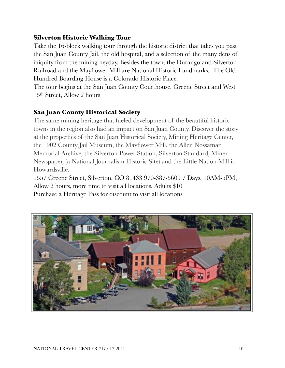### **Silverton Historic Walking Tour**

Take the 16-block walking tour through the historic district that takes you past the San Juan County Jail, the old hospital, and a selection of the many dens of iniquity from the mining heyday. Besides the town, the Durango and Silverton Railroad and the Mayflower Mill are National Historic Landmarks. The Old Hundred Boarding House is a Colorado Historic Place.

The tour begins at the San Juan County Courthouse, Greene Street and West 15th Street, Allow 2 hours

### **San Juan County Historical Society**

The same mining heritage that fueled development of the beautiful historic towns in the region also had an impact on San Juan County. Discover the story at the properties of the San Juan Historical Society, Mining Heritage Center, the 1902 County Jail Museum, the Mayflower Mill, the Allen Nossaman Memorial Archive, the Silverton Power Station, Silverton Standard, Miner Newspaper, (a National Journalism Historic Site) and the Little Nation Mill in Howardsville.

1557 Greene Street, Silverton, CO 81433 970-387-5609 7 Days, 10AM-5PM, Allow 2 hours, more time to visit all locations. Adults \$10 Purchase a Heritage Pass for discount to visit all locations

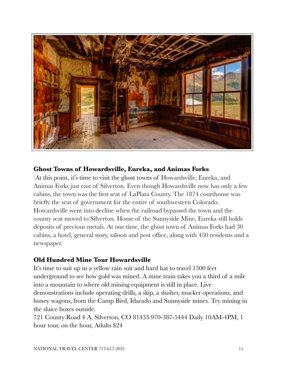

### **Ghost Towns of Howardsville, Eureka, and Animas Forks**

At this point, it's time to visit the ghost towns of Howardsville, Eureka, and Animas Forks just east of Silverton. Even though Howardsville now has only a few cabins, the town was the first seat of LaPlata County. The 1874 courthouse was briefly the seat of government for the entire of southwestern Colorado. Howardsville went into decline when the railroad bypassed the town and the county seat moved to Silverton. Home of the Sunnyside Mine, Eureka still holds deposits of precious metals. At one time, the ghost town of Animas Forks had 30 cabins, a hotel, general story, saloon and post office, along with 450 residents and a newspaper.

### **Old Hundred Mine Tour Howardsville**

It's time to suit up in a yellow rain suit and hard hat to travel 1500 feet underground to see how gold was mined. A mine train takes you a third of a mile into a mountain to where old mining equipment is still in place. Live demonstrations include operating drills, a skip, a slusher, mucker operations, and honey wagons, from the Camp Bird, Idarado and Sunnyside mines. Try mining in the sluice boxes outside.

721 County Road 4 A, Silverton, CO 81433 970-387-5444 Daily 10AM-4PM, 1 hour tour, on the hour, Adults \$24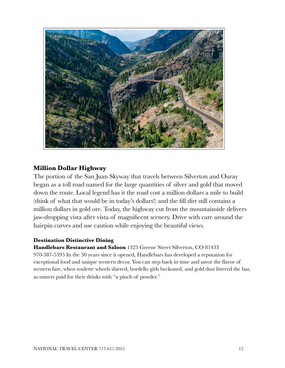

### **Million Dollar Highway**

The portion of the San Juan Skyway that travels between Silverton and Ouray began as a toll road named for the large quantities of silver and gold that moved down the route. Local legend has it the road cost a million dollars a mile to build (think of what that would be in today's dollars!) and the fill dirt still contains a million dollars in gold ore. Today, the highway cut from the mountainside delivers jaw-dropping vista after vista of magnificent scenery. Drive with care around the hairpin curves and use caution while enjoying the beautiful views.

#### **Destination Distinctive Dining**

**Handlebars Restaurant and Saloon** 1323 Greene Street Silverton, CO 81433 970-387-5395 In the 30 years since it opened, Handlebars has developed a reputation for exceptional food and unique western decor. You can step back in time and savor the flavor of western fare, when roulette wheels shirred, bordello girls beckoned, and gold dust littered the bar, as miners paid for their drinks with "a pinch of powder."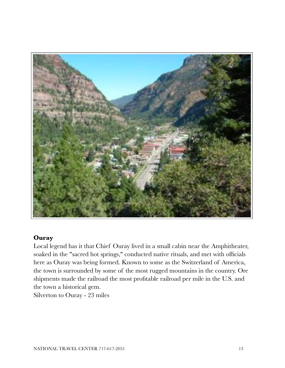

### **Ouray**

Local legend has it that Chief Ouray lived in a small cabin near the Amphitheater, soaked in the "sacred hot springs," conducted native rituals, and met with officials here as Ouray was being formed. Known to some as the Switzerland of America, the town is surrounded by some of the most rugged mountains in the country. Ore shipments made the railroad the most profitable railroad per mile in the U.S. and the town a historical gem.

Silverton to Ouray - 23 miles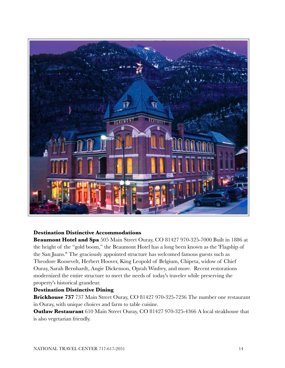

#### **Destination Distinctive Accommodations**

**Beaumont Hotel and Spa** 505 Main Street Ouray, CO 81427 970-325-7000 Built in 1886 at the height of the "gold boom," the Beaumont Hotel has a long been known as the 'Flagship of the San Juans." The graciously appointed structure has welcomed famous guests such as Theodore Roosevelt, Herbert Hoover, King Leopold of Belgium, Chipeta, widow of Chief Ouray, Sarah Bernhardt, Angie Dickenson, Oprah Winfrey, and more. Recent restorations modernized the entire structure to meet the needs of today's traveler while preserving the property's historical grandeur.

#### **Destination Distinctive Dining**

**Brickhouse 737** 737 Main Street Ouray, CO 81427 970-325-7236 The number one restaurant in Ouray, with unique choices and farm to table cuisine.

**Outlaw Restaurant** 610 Main Street Ouray, CO 81427 970-325-4366 A local steakhouse that is also vegetarian friendly.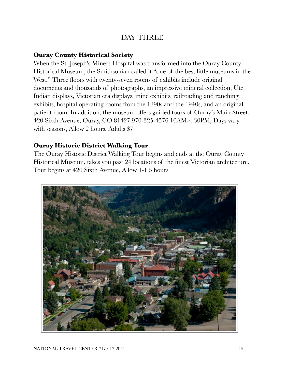# DAY THREE

### **Ouray County Historical Society**

When the St. Joseph's Miners Hospital was transformed into the Ouray County Historical Museum, the Smithsonian called it "one of the best little museums in the West." Three floors with twenty-seven rooms of exhibits include original documents and thousands of photographs, an impressive mineral collection, Ute Indian displays, Victorian era displays, mine exhibits, railroading and ranching exhibits, hospital operating rooms from the 1890s and the 1940s, and an original patient room. In addition, the museum offers guided tours of Ouray's Main Street. 420 Sixth Avenue, Ouray, CO 81427 970-325-4576 10AM-4:30PM, Days vary with seasons, Allow 2 hours, Adults \$7

### **Ouray Historic District Walking Tour**

The Ouray Historic District Walking Tour begins and ends at the Ouray County Historical Museum, takes you past 24 locations of the finest Victorian architecture. Tour begins at 420 Sixth Avenue, Allow 1-1.5 hours

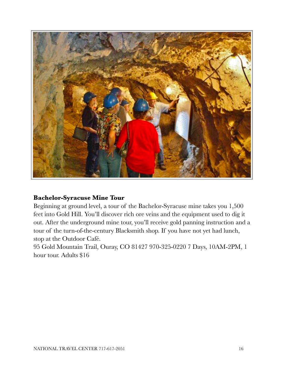

### **Bachelor-Syracuse Mine Tour**

Beginning at ground level, a tour of the Bachelor-Syracuse mine takes you 1,500 feet into Gold Hill. You'll discover rich ore veins and the equipment used to dig it out. After the underground mine tour, you'll receive gold panning instruction and a tour of the turn-of-the-century Blacksmith shop. If you have not yet had lunch, stop at the Outdoor Café.

95 Gold Mountain Trail, Ouray, CO 81427 970-325-0220 7 Days, 10AM-2PM, 1 hour tour. Adults \$16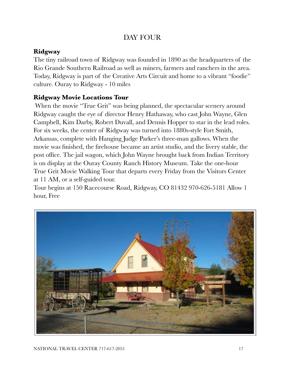# DAY FOUR

# **Ridgway**

The tiny railroad town of Ridgway was founded in 1890 as the headquarters of the Rio Grande Southern Railroad as well as miners, farmers and ranchers in the area. Today, Ridgway is part of the Creative Arts Circuit and home to a vibrant "foodie" culture. Ouray to Ridgway - 10 miles

### **Ridgway Movie Locations Tour**

When the movie "True Grit" was being planned, the spectacular scenery around Ridgway caught the eye of director Henry Hathaway, who cast John Wayne, Glen Campbell, Kim Darby, Robert Duvall, and Dennis Hopper to star in the lead roles. For six weeks, the center of Ridgway was turned into 1880s-style Fort Smith, Arkansas, complete with Hanging Judge Parker's three-man gallows. When the movie was finished, the firehouse became an artist studio, and the livery stable, the post office. The jail wagon, which John Wayne brought back from Indian Territory is on display at the Ouray County Ranch History Museum. Take the one-hour True Grit Movie Walking Tour that departs every Friday from the Visitors Center at 11 AM, or a self-guided tour.

Tour begins at 150 Racecourse Road, Ridgway, CO 81432 970-626-5181 Allow 1 hour, Free

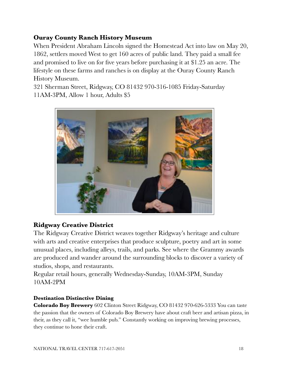### **Ouray County Ranch History Museum**

When President Abraham Lincoln signed the Homestead Act into law on May 20, 1862, settlers moved West to get 160 acres of public land. They paid a small fee and promised to live on for five years before purchasing it at \$1.25 an acre. The lifestyle on these farms and ranches is on display at the Ouray County Ranch History Museum.

321 Sherman Street, Ridgway, CO 81432 970-316-1085 Friday-Saturday 11AM-3PM, Allow 1 hour, Adults \$5



### **Ridgway Creative District**

The Ridgway Creative District weaves together Ridgway's heritage and culture with arts and creative enterprises that produce sculpture, poetry and art in some unusual places, including alleys, trails, and parks. See where the Grammy awards are produced and wander around the surrounding blocks to discover a variety of studios, shops, and restaurants.

Regular retail hours, generally Wednesday-Sunday, 10AM-3PM, Sunday 10AM-2PM

#### **Destination Distinctive Dining**

**Colorado Boy Brewery** 602 Clinton Street Ridgway, CO 81432 970-626-5333 You can taste the passion that the owners of Colorado Boy Brewery have about craft beer and artisan pizza, in their, as they call it, "wee humble pub." Constantly working on improving brewing processes, they continue to hone their craft.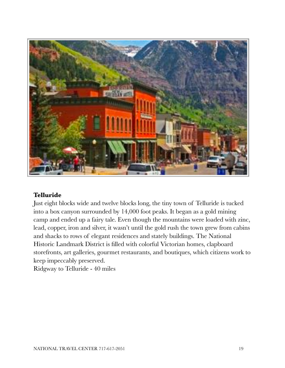

### **Telluride**

Just eight blocks wide and twelve blocks long, the tiny town of Telluride is tucked into a box canyon surrounded by 14,000 foot peaks. It began as a gold mining camp and ended up a fairy tale. Even though the mountains were loaded with zinc, lead, copper, iron and silver, it wasn't until the gold rush the town grew from cabins and shacks to rows of elegant residences and stately buildings. The National Historic Landmark District is filled with colorful Victorian homes, clapboard storefronts, art galleries, gourmet restaurants, and boutiques, which citizens work to keep impeccably preserved.

Ridgway to Telluride - 40 miles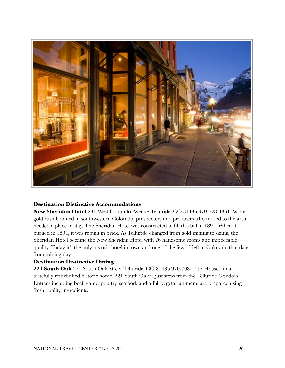

#### **Destination Distinctive Accommodations**

**New Sheridan Hotel** 231 West Colorado Avenue Telluride, CO 81435 970-728-4351 As the gold rush boomed in southwestern Colorado, prospectors and profiteers who moved to the area, needed a place to stay. The Sheridan Hotel was constructed to fill this bill in 1891. When it burned in 1894, it was rebuilt in brick. As Telluride changed from gold mining to skiing, the Sheridan Hotel became the New Sheridan Hotel with 26 handsome rooms and impeccable quality. Today it's the only historic hotel in town and one of the few of left in Colorado that date from mining days.

#### **Destination Distinctive Dining**

**221 South Oak** 221 South Oak Street Telluride, CO 81435 970-708-1437 Housed in a tastefully refurbished historic home, 221 South Oak is just steps from the Telluride Gondola. Entrees including beef, game, poultry, seafood, and a full vegetarian menu are prepared using fresh quality ingredients.